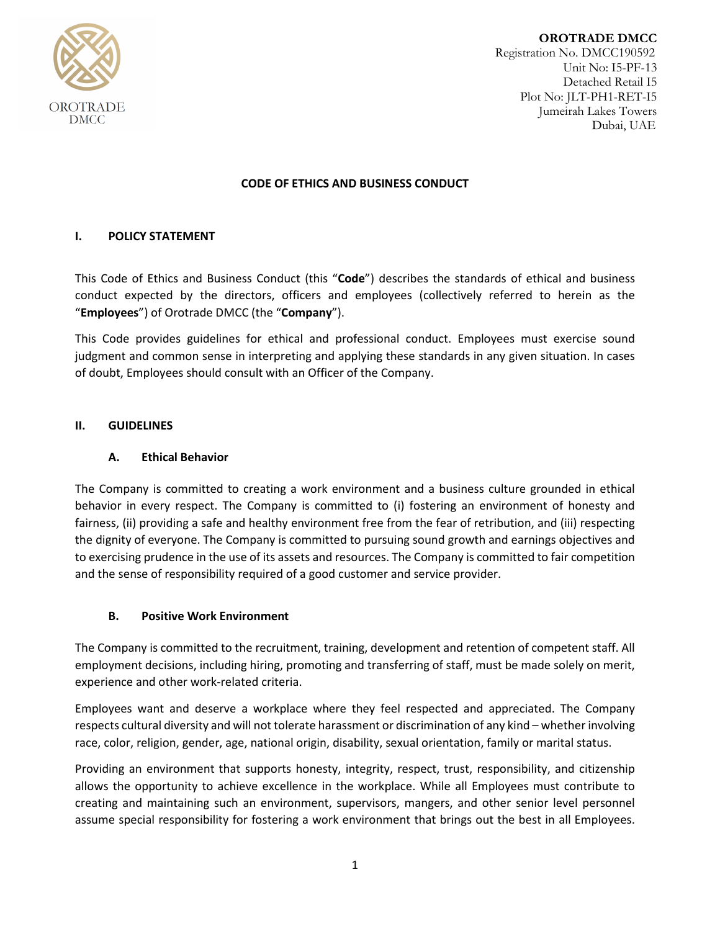

**OROTRADE DMCC** Registration No. DMCC190592 Unit No: I5-PF-13 Detached Retail I5 Plot No: JLT-PH1-RET-I5 Jumeirah Lakes Towers Dubai, UAE

#### **CODE OF ETHICS AND BUSINESS CONDUCT**

## **I. POLICY STATEMENT**

This Code of Ethics and Business Conduct (this "**Code**") describes the standards of ethical and business conduct expected by the directors, officers and employees (collectively referred to herein as the "**Employees**") of Orotrade DMCC (the "**Company**").

This Code provides guidelines for ethical and professional conduct. Employees must exercise sound judgment and common sense in interpreting and applying these standards in any given situation. In cases of doubt, Employees should consult with an Officer of the Company.

#### **II. GUIDELINES**

#### **A. Ethical Behavior**

The Company is committed to creating a work environment and a business culture grounded in ethical behavior in every respect. The Company is committed to (i) fostering an environment of honesty and fairness, (ii) providing a safe and healthy environment free from the fear of retribution, and (iii) respecting the dignity of everyone. The Company is committed to pursuing sound growth and earnings objectives and to exercising prudence in the use of its assets and resources. The Company is committed to fair competition and the sense of responsibility required of a good customer and service provider.

#### **B. Positive Work Environment**

The Company is committed to the recruitment, training, development and retention of competent staff. All employment decisions, including hiring, promoting and transferring of staff, must be made solely on merit, experience and other work-related criteria.

Employees want and deserve a workplace where they feel respected and appreciated. The Company respects cultural diversity and will not tolerate harassment or discrimination of any kind – whether involving race, color, religion, gender, age, national origin, disability, sexual orientation, family or marital status.

Providing an environment that supports honesty, integrity, respect, trust, responsibility, and citizenship allows the opportunity to achieve excellence in the workplace. While all Employees must contribute to creating and maintaining such an environment, supervisors, mangers, and other senior level personnel assume special responsibility for fostering a work environment that brings out the best in all Employees.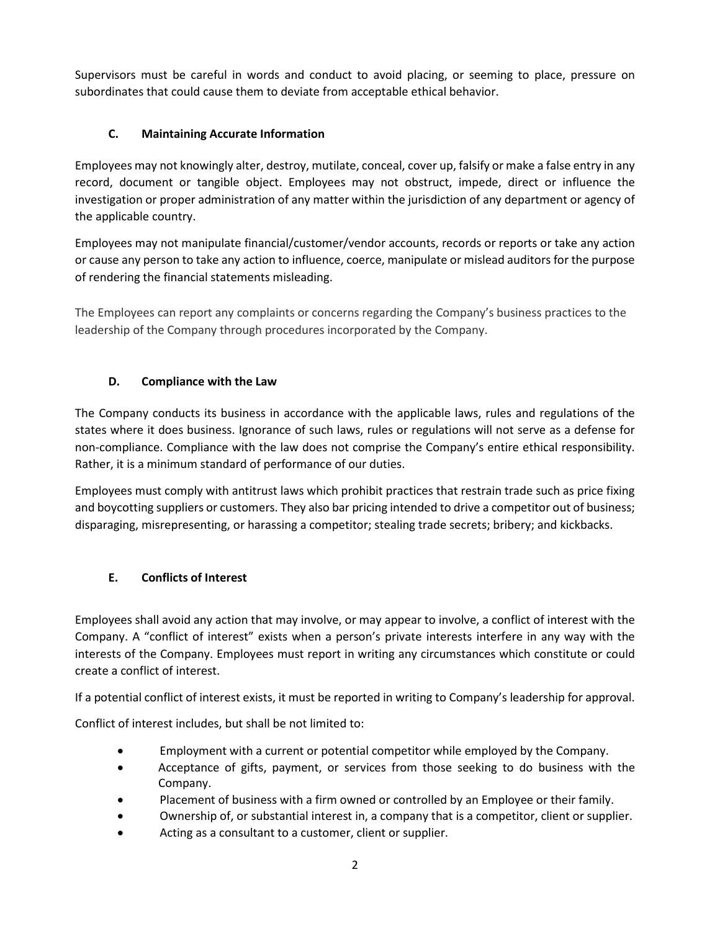Supervisors must be careful in words and conduct to avoid placing, or seeming to place, pressure on subordinates that could cause them to deviate from acceptable ethical behavior.

# **C. Maintaining Accurate Information**

Employees may not knowingly alter, destroy, mutilate, conceal, cover up, falsify or make a false entry in any record, document or tangible object. Employees may not obstruct, impede, direct or influence the investigation or proper administration of any matter within the jurisdiction of any department or agency of the applicable country.

Employees may not manipulate financial/customer/vendor accounts, records or reports or take any action or cause any person to take any action to influence, coerce, manipulate or mislead auditors for the purpose of rendering the financial statements misleading.

The Employees can report any complaints or concerns regarding the Company's business practices to the leadership of the Company through procedures incorporated by the Company.

# **D. Compliance with the Law**

The Company conducts its business in accordance with the applicable laws, rules and regulations of the states where it does business. Ignorance of such laws, rules or regulations will not serve as a defense for non-compliance. Compliance with the law does not comprise the Company's entire ethical responsibility. Rather, it is a minimum standard of performance of our duties.

Employees must comply with antitrust laws which prohibit practices that restrain trade such as price fixing and boycotting suppliers or customers. They also bar pricing intended to drive a competitor out of business; disparaging, misrepresenting, or harassing a competitor; stealing trade secrets; bribery; and kickbacks.

# **E. Conflicts of Interest**

Employees shall avoid any action that may involve, or may appear to involve, a conflict of interest with the Company. A "conflict of interest" exists when a person's private interests interfere in any way with the interests of the Company. Employees must report in writing any circumstances which constitute or could create a conflict of interest.

If a potential conflict of interest exists, it must be reported in writing to Company's leadership for approval.

Conflict of interest includes, but shall be not limited to:

- Employment with a current or potential competitor while employed by the Company.
- Acceptance of gifts, payment, or services from those seeking to do business with the Company.
- Placement of business with a firm owned or controlled by an Employee or their family.
- Ownership of, or substantial interest in, a company that is a competitor, client or supplier.
- Acting as a consultant to a customer, client or supplier.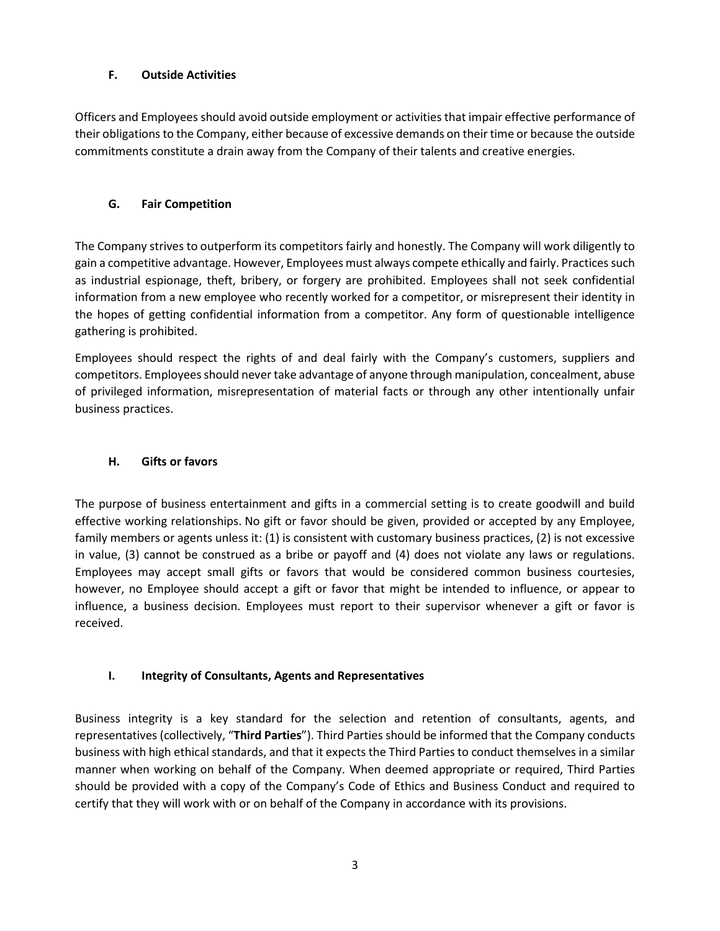## **F. Outside Activities**

Officers and Employees should avoid outside employment or activities that impair effective performance of their obligations to the Company, either because of excessive demands on their time or because the outside commitments constitute a drain away from the Company of their talents and creative energies.

# **G. Fair Competition**

The Company strives to outperform its competitors fairly and honestly. The Company will work diligently to gain a competitive advantage. However, Employees must always compete ethically and fairly. Practices such as industrial espionage, theft, bribery, or forgery are prohibited. Employees shall not seek confidential information from a new employee who recently worked for a competitor, or misrepresent their identity in the hopes of getting confidential information from a competitor. Any form of questionable intelligence gathering is prohibited.

Employees should respect the rights of and deal fairly with the Company's customers, suppliers and competitors. Employees should never take advantage of anyone through manipulation, concealment, abuse of privileged information, misrepresentation of material facts or through any other intentionally unfair business practices.

## **H. Gifts or favors**

The purpose of business entertainment and gifts in a commercial setting is to create goodwill and build effective working relationships. No gift or favor should be given, provided or accepted by any Employee, family members or agents unless it: (1) is consistent with customary business practices, (2) is not excessive in value, (3) cannot be construed as a bribe or payoff and (4) does not violate any laws or regulations. Employees may accept small gifts or favors that would be considered common business courtesies, however, no Employee should accept a gift or favor that might be intended to influence, or appear to influence, a business decision. Employees must report to their supervisor whenever a gift or favor is received.

# **I. Integrity of Consultants, Agents and Representatives**

Business integrity is a key standard for the selection and retention of consultants, agents, and representatives (collectively, "**Third Parties**"). Third Parties should be informed that the Company conducts business with high ethical standards, and that it expects the Third Parties to conduct themselves in a similar manner when working on behalf of the Company. When deemed appropriate or required, Third Parties should be provided with a copy of the Company's Code of Ethics and Business Conduct and required to certify that they will work with or on behalf of the Company in accordance with its provisions.